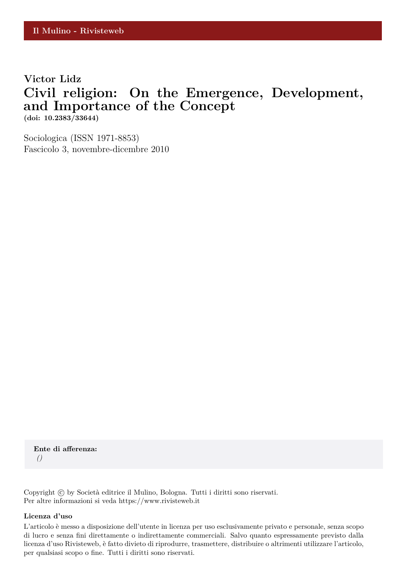## **Victor Lidz Civil religion: On the Emergence, Development, and Importance of the Concept (doi: 10.2383/33644)**

Sociologica (ISSN 1971-8853) Fascicolo 3, novembre-dicembre 2010

**Ente di afferenza:** *()*

Copyright © by Società editrice il Mulino, Bologna. Tutti i diritti sono riservati. Per altre informazioni si veda https://www.rivisteweb.it

#### **Licenza d'uso**

L'articolo è messo a disposizione dell'utente in licenza per uso esclusivamente privato e personale, senza scopo di lucro e senza fini direttamente o indirettamente commerciali. Salvo quanto espressamente previsto dalla licenza d'uso Rivisteweb, è fatto divieto di riprodurre, trasmettere, distribuire o altrimenti utilizzare l'articolo, per qualsiasi scopo o fine. Tutti i diritti sono riservati.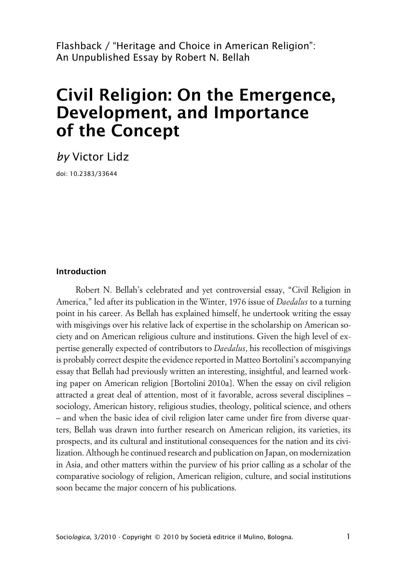Flashback / "Heritage and Choice in American Religion": An Unpublished Essay by Robert N. Bellah

# **Civil Religion: On the Emergence, Development, and Importance of the Concept**

*by* Victor Lidz

doi: 10.2383/33644

#### **Introduction**

Robert N. Bellah's celebrated and yet controversial essay, "Civil Religion in America," led after its publication in the Winter, 1976 issue of *Daedalus* to a turning point in his career. As Bellah has explained himself, he undertook writing the essay with misgivings over his relative lack of expertise in the scholarship on American society and on American religious culture and institutions. Given the high level of expertise generally expected of contributors to *Daedalus*, his recollection of misgivings is probably correct despite the evidence reported in Matteo Bortolini's accompanying essay that Bellah had previously written an interesting, insightful, and learned working paper on American religion [Bortolini 2010a]. When the essay on civil religion attracted a great deal of attention, most of it favorable, across several disciplines – sociology, American history, religious studies, theology, political science, and others – and when the basic idea of civil religion later came under fire from diverse quarters, Bellah was drawn into further research on American religion, its varieties, its prospects, and its cultural and institutional consequences for the nation and its civilization. Although he continued research and publication on Japan, on modernization in Asia, and other matters within the purview of his prior calling as a scholar of the comparative sociology of religion, American religion, culture, and social institutions soon became the major concern of his publications.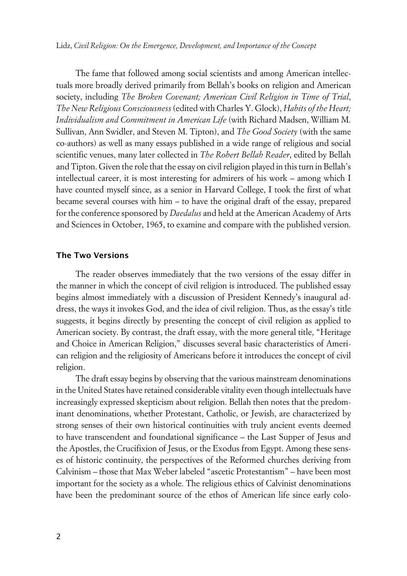Lidz, *Civil Religion: On the Emergence, Development, and Importance of the Concept*

The fame that followed among social scientists and among American intellectuals more broadly derived primarily from Bellah's books on religion and American society, including *The Broken Covenant; American Civil Religion in Time of Trial*, *The New Religious Consciousness* (edited with Charles Y. Glock), *Habits of the Heart; Individualism and Commitment in American Life* (with Richard Madsen, William M. Sullivan, Ann Swidler, and Steven M. Tipton), and *The Good Society* (with the same co-authors) as well as many essays published in a wide range of religious and social scientific venues, many later collected in *The Robert Bellah Reader*, edited by Bellah and Tipton. Given the role that the essay on civil religion played in this turn in Bellah's intellectual career, it is most interesting for admirers of his work – among which I have counted myself since, as a senior in Harvard College, I took the first of what became several courses with him – to have the original draft of the essay, prepared for the conference sponsored by *Daedalus* and held at the American Academy of Arts and Sciences in October, 1965, to examine and compare with the published version.

#### **xThe Two Versions**

The reader observes immediately that the two versions of the essay differ in the manner in which the concept of civil religion is introduced. The published essay begins almost immediately with a discussion of President Kennedy's inaugural address, the ways it invokes God, and the idea of civil religion. Thus, as the essay's title suggests, it begins directly by presenting the concept of civil religion as applied to American society. By contrast, the draft essay, with the more general title, "Heritage and Choice in American Religion," discusses several basic characteristics of American religion and the religiosity of Americans before it introduces the concept of civil religion.

The draft essay begins by observing that the various mainstream denominations in the United States have retained considerable vitality even though intellectuals have increasingly expressed skepticism about religion. Bellah then notes that the predominant denominations, whether Protestant, Catholic, or Jewish, are characterized by strong senses of their own historical continuities with truly ancient events deemed to have transcendent and foundational significance – the Last Supper of Jesus and the Apostles, the Crucifixion of Jesus, or the Exodus from Egypt. Among these senses of historic continuity, the perspectives of the Reformed churches deriving from Calvinism – those that Max Weber labeled "ascetic Protestantism" – have been most important for the society as a whole. The religious ethics of Calvinist denominations have been the predominant source of the ethos of American life since early colo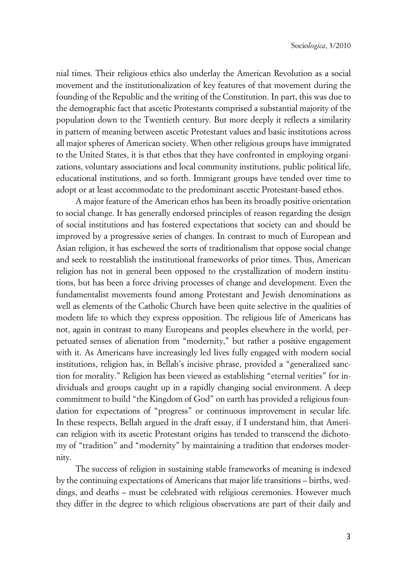nial times. Their religious ethics also underlay the American Revolution as a social movement and the institutionalization of key features of that movement during the founding of the Republic and the writing of the Constitution. In part, this was due to the demographic fact that ascetic Protestants comprised a substantial majority of the population down to the Twentieth century. But more deeply it reflects a similarity in pattern of meaning between ascetic Protestant values and basic institutions across all major spheres of American society. When other religious groups have immigrated to the United States, it is that ethos that they have confronted in employing organizations, voluntary associations and local community institutions, public political life, educational institutions, and so forth. Immigrant groups have tended over time to adopt or at least accommodate to the predominant ascetic Protestant-based ethos.

A major feature of the American ethos has been its broadly positive orientation to social change. It has generally endorsed principles of reason regarding the design of social institutions and has fostered expectations that society can and should be improved by a progressive series of changes. In contrast to much of European and Asian religion, it has eschewed the sorts of traditionalism that oppose social change and seek to reestablish the institutional frameworks of prior times. Thus, American religion has not in general been opposed to the crystallization of modern institutions, but has been a force driving processes of change and development. Even the fundamentalist movements found among Protestant and Jewish denominations as well as elements of the Catholic Church have been quite selective in the qualities of modern life to which they express opposition. The religious life of Americans has not, again in contrast to many Europeans and peoples elsewhere in the world, perpetuated senses of alienation from "modernity," but rather a positive engagement with it. As Americans have increasingly led lives fully engaged with modern social institutions, religion has, in Bellah's incisive phrase, provided a "generalized sanction for morality." Religion has been viewed as establishing "eternal verities" for individuals and groups caught up in a rapidly changing social environment. A deep commitment to build "the Kingdom of God" on earth has provided a religious foundation for expectations of "progress" or continuous improvement in secular life. In these respects, Bellah argued in the draft essay, if I understand him, that American religion with its ascetic Protestant origins has tended to transcend the dichotomy of "tradition" and "modernity" by maintaining a tradition that endorses modernity.

The success of religion in sustaining stable frameworks of meaning is indexed by the continuing expectations of Americans that major life transitions – births, weddings, and deaths – must be celebrated with religious ceremonies. However much they differ in the degree to which religious observations are part of their daily and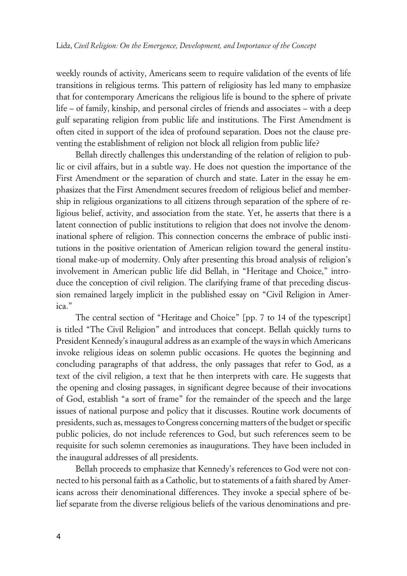weekly rounds of activity, Americans seem to require validation of the events of life transitions in religious terms. This pattern of religiosity has led many to emphasize that for contemporary Americans the religious life is bound to the sphere of private life – of family, kinship, and personal circles of friends and associates – with a deep gulf separating religion from public life and institutions. The First Amendment is often cited in support of the idea of profound separation. Does not the clause preventing the establishment of religion not block all religion from public life?

Bellah directly challenges this understanding of the relation of religion to public or civil affairs, but in a subtle way. He does not question the importance of the First Amendment or the separation of church and state. Later in the essay he emphasizes that the First Amendment secures freedom of religious belief and membership in religious organizations to all citizens through separation of the sphere of religious belief, activity, and association from the state. Yet, he asserts that there is a latent connection of public institutions to religion that does not involve the denominational sphere of religion. This connection concerns the embrace of public institutions in the positive orientation of American religion toward the general institutional make-up of modernity. Only after presenting this broad analysis of religion's involvement in American public life did Bellah, in "Heritage and Choice," introduce the conception of civil religion. The clarifying frame of that preceding discussion remained largely implicit in the published essay on "Civil Religion in America."

The central section of "Heritage and Choice" [pp. 7 to 14 of the typescript] is titled "The Civil Religion" and introduces that concept. Bellah quickly turns to President Kennedy's inaugural address as an example of the ways in which Americans invoke religious ideas on solemn public occasions. He quotes the beginning and concluding paragraphs of that address, the only passages that refer to God, as a text of the civil religion, a text that he then interprets with care. He suggests that the opening and closing passages, in significant degree because of their invocations of God, establish "a sort of frame" for the remainder of the speech and the large issues of national purpose and policy that it discusses. Routine work documents of presidents, such as, messages to Congress concerning matters of the budget or specific public policies, do not include references to God, but such references seem to be requisite for such solemn ceremonies as inaugurations. They have been included in the inaugural addresses of all presidents.

Bellah proceeds to emphasize that Kennedy's references to God were not connected to his personal faith as a Catholic, but to statements of a faith shared by Americans across their denominational differences. They invoke a special sphere of belief separate from the diverse religious beliefs of the various denominations and pre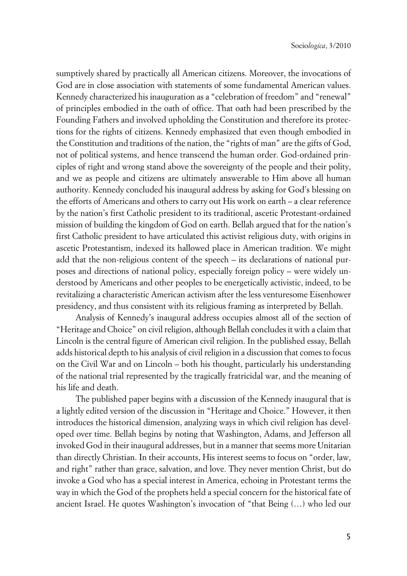sumptively shared by practically all American citizens. Moreover, the invocations of God are in close association with statements of some fundamental American values. Kennedy characterized his inauguration as a "celebration of freedom" and "renewal" of principles embodied in the oath of office. That oath had been prescribed by the Founding Fathers and involved upholding the Constitution and therefore its protections for the rights of citizens. Kennedy emphasized that even though embodied in the Constitution and traditions of the nation, the "rights of man" are the gifts of God, not of political systems, and hence transcend the human order. God-ordained principles of right and wrong stand above the sovereignty of the people and their polity, and we as people and citizens are ultimately answerable to Him above all human authority. Kennedy concluded his inaugural address by asking for God's blessing on the efforts of Americans and others to carry out His work on earth – a clear reference by the nation's first Catholic president to its traditional, ascetic Protestant-ordained mission of building the kingdom of God on earth. Bellah argued that for the nation's first Catholic president to have articulated this activist religious duty, with origins in ascetic Protestantism, indexed its hallowed place in American tradition. We might add that the non-religious content of the speech – its declarations of national purposes and directions of national policy, especially foreign policy – were widely understood by Americans and other peoples to be energetically activistic, indeed, to be revitalizing a characteristic American activism after the less venturesome Eisenhower presidency, and thus consistent with its religious framing as interpreted by Bellah.

Analysis of Kennedy's inaugural address occupies almost all of the section of "Heritage and Choice" on civil religion, although Bellah concludes it with a claim that Lincoln is the central figure of American civil religion. In the published essay, Bellah adds historical depth to his analysis of civil religion in a discussion that comes to focus on the Civil War and on Lincoln – both his thought, particularly his understanding of the national trial represented by the tragically fratricidal war, and the meaning of his life and death.

The published paper begins with a discussion of the Kennedy inaugural that is a lightly edited version of the discussion in "Heritage and Choice." However, it then introduces the historical dimension, analyzing ways in which civil religion has developed over time. Bellah begins by noting that Washington, Adams, and Jefferson all invoked God in their inaugural addresses, but in a manner that seems more Unitarian than directly Christian. In their accounts, His interest seems to focus on "order, law, and right" rather than grace, salvation, and love. They never mention Christ, but do invoke a God who has a special interest in America, echoing in Protestant terms the way in which the God of the prophets held a special concern for the historical fate of ancient Israel. He quotes Washington's invocation of "that Being (…) who led our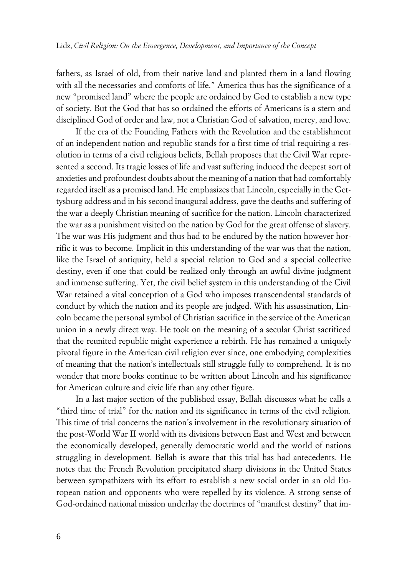fathers, as Israel of old, from their native land and planted them in a land flowing with all the necessaries and comforts of life." America thus has the significance of a new "promised land" where the people are ordained by God to establish a new type of society. But the God that has so ordained the efforts of Americans is a stern and disciplined God of order and law, not a Christian God of salvation, mercy, and love.

If the era of the Founding Fathers with the Revolution and the establishment of an independent nation and republic stands for a first time of trial requiring a resolution in terms of a civil religious beliefs, Bellah proposes that the Civil War represented a second. Its tragic losses of life and vast suffering induced the deepest sort of anxieties and profoundest doubts about the meaning of a nation that had comfortably regarded itself as a promised land. He emphasizes that Lincoln, especially in the Gettysburg address and in his second inaugural address, gave the deaths and suffering of the war a deeply Christian meaning of sacrifice for the nation. Lincoln characterized the war as a punishment visited on the nation by God for the great offense of slavery. The war was His judgment and thus had to be endured by the nation however horrific it was to become. Implicit in this understanding of the war was that the nation, like the Israel of antiquity, held a special relation to God and a special collective destiny, even if one that could be realized only through an awful divine judgment and immense suffering. Yet, the civil belief system in this understanding of the Civil War retained a vital conception of a God who imposes transcendental standards of conduct by which the nation and its people are judged. With his assassination, Lincoln became the personal symbol of Christian sacrifice in the service of the American union in a newly direct way. He took on the meaning of a secular Christ sacrificed that the reunited republic might experience a rebirth. He has remained a uniquely pivotal figure in the American civil religion ever since, one embodying complexities of meaning that the nation's intellectuals still struggle fully to comprehend. It is no wonder that more books continue to be written about Lincoln and his significance for American culture and civic life than any other figure.

In a last major section of the published essay, Bellah discusses what he calls a "third time of trial" for the nation and its significance in terms of the civil religion. This time of trial concerns the nation's involvement in the revolutionary situation of the post-World War II world with its divisions between East and West and between the economically developed, generally democratic world and the world of nations struggling in development. Bellah is aware that this trial has had antecedents. He notes that the French Revolution precipitated sharp divisions in the United States between sympathizers with its effort to establish a new social order in an old European nation and opponents who were repelled by its violence. A strong sense of God-ordained national mission underlay the doctrines of "manifest destiny" that im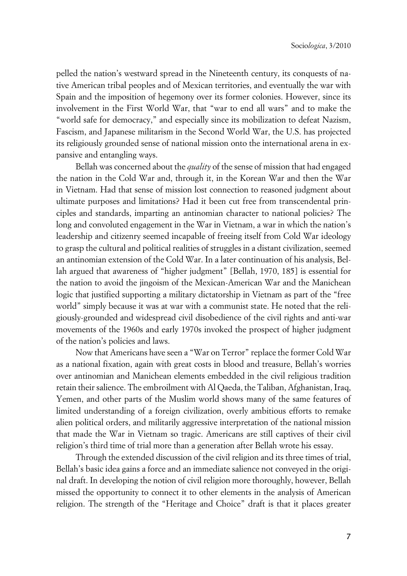pelled the nation's westward spread in the Nineteenth century, its conquests of native American tribal peoples and of Mexican territories, and eventually the war with Spain and the imposition of hegemony over its former colonies. However, since its involvement in the First World War, that "war to end all wars" and to make the "world safe for democracy," and especially since its mobilization to defeat Nazism, Fascism, and Japanese militarism in the Second World War, the U.S. has projected its religiously grounded sense of national mission onto the international arena in expansive and entangling ways.

Bellah was concerned about the *quality* of the sense of mission that had engaged the nation in the Cold War and, through it, in the Korean War and then the War in Vietnam. Had that sense of mission lost connection to reasoned judgment about ultimate purposes and limitations? Had it been cut free from transcendental principles and standards, imparting an antinomian character to national policies? The long and convoluted engagement in the War in Vietnam, a war in which the nation's leadership and citizenry seemed incapable of freeing itself from Cold War ideology to grasp the cultural and political realities of struggles in a distant civilization, seemed an antinomian extension of the Cold War. In a later continuation of his analysis, Bellah argued that awareness of "higher judgment" [Bellah, 1970, 185] is essential for the nation to avoid the jingoism of the Mexican-American War and the Manichean logic that justified supporting a military dictatorship in Vietnam as part of the "free world" simply because it was at war with a communist state. He noted that the religiously-grounded and widespread civil disobedience of the civil rights and anti-war movements of the 1960s and early 1970s invoked the prospect of higher judgment of the nation's policies and laws.

Now that Americans have seen a "War on Terror" replace the former Cold War as a national fixation, again with great costs in blood and treasure, Bellah's worries over antinomian and Manichean elements embedded in the civil religious tradition retain their salience. The embroilment with Al Qaeda, the Taliban, Afghanistan, Iraq, Yemen, and other parts of the Muslim world shows many of the same features of limited understanding of a foreign civilization, overly ambitious efforts to remake alien political orders, and militarily aggressive interpretation of the national mission that made the War in Vietnam so tragic. Americans are still captives of their civil religion's third time of trial more than a generation after Bellah wrote his essay.

Through the extended discussion of the civil religion and its three times of trial, Bellah's basic idea gains a force and an immediate salience not conveyed in the original draft. In developing the notion of civil religion more thoroughly, however, Bellah missed the opportunity to connect it to other elements in the analysis of American religion. The strength of the "Heritage and Choice" draft is that it places greater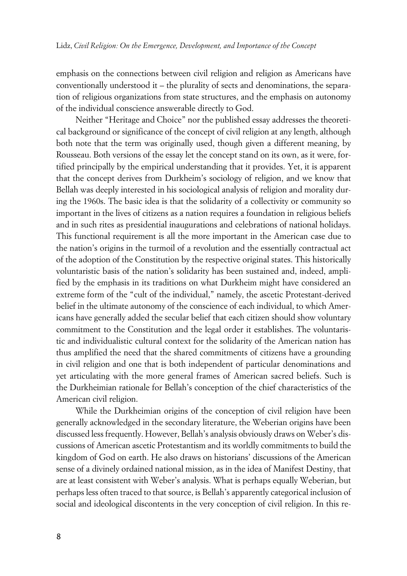emphasis on the connections between civil religion and religion as Americans have conventionally understood it – the plurality of sects and denominations, the separation of religious organizations from state structures, and the emphasis on autonomy of the individual conscience answerable directly to God.

Neither "Heritage and Choice" nor the published essay addresses the theoretical background or significance of the concept of civil religion at any length, although both note that the term was originally used, though given a different meaning, by Rousseau. Both versions of the essay let the concept stand on its own, as it were, fortified principally by the empirical understanding that it provides. Yet, it is apparent that the concept derives from Durkheim's sociology of religion, and we know that Bellah was deeply interested in his sociological analysis of religion and morality during the 1960s. The basic idea is that the solidarity of a collectivity or community so important in the lives of citizens as a nation requires a foundation in religious beliefs and in such rites as presidential inaugurations and celebrations of national holidays. This functional requirement is all the more important in the American case due to the nation's origins in the turmoil of a revolution and the essentially contractual act of the adoption of the Constitution by the respective original states. This historically voluntaristic basis of the nation's solidarity has been sustained and, indeed, amplified by the emphasis in its traditions on what Durkheim might have considered an extreme form of the "cult of the individual," namely, the ascetic Protestant-derived belief in the ultimate autonomy of the conscience of each individual, to which Americans have generally added the secular belief that each citizen should show voluntary commitment to the Constitution and the legal order it establishes. The voluntaristic and individualistic cultural context for the solidarity of the American nation has thus amplified the need that the shared commitments of citizens have a grounding in civil religion and one that is both independent of particular denominations and yet articulating with the more general frames of American sacred beliefs. Such is the Durkheimian rationale for Bellah's conception of the chief characteristics of the American civil religion.

While the Durkheimian origins of the conception of civil religion have been generally acknowledged in the secondary literature, the Weberian origins have been discussed less frequently. However, Bellah's analysis obviously draws on Weber's discussions of American ascetic Protestantism and its worldly commitments to build the kingdom of God on earth. He also draws on historians' discussions of the American sense of a divinely ordained national mission, as in the idea of Manifest Destiny, that are at least consistent with Weber's analysis. What is perhaps equally Weberian, but perhaps less often traced to that source, is Bellah's apparently categorical inclusion of social and ideological discontents in the very conception of civil religion. In this re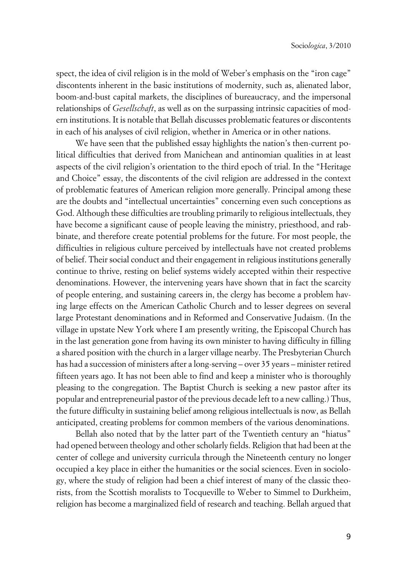spect, the idea of civil religion is in the mold of Weber's emphasis on the "iron cage" discontents inherent in the basic institutions of modernity, such as, alienated labor, boom-and-bust capital markets, the disciplines of bureaucracy, and the impersonal relationships of *Gesellschaft*, as well as on the surpassing intrinsic capacities of modern institutions. It is notable that Bellah discusses problematic features or discontents in each of his analyses of civil religion, whether in America or in other nations.

We have seen that the published essay highlights the nation's then-current political difficulties that derived from Manichean and antinomian qualities in at least aspects of the civil religion's orientation to the third epoch of trial. In the "Heritage and Choice" essay, the discontents of the civil religion are addressed in the context of problematic features of American religion more generally. Principal among these are the doubts and "intellectual uncertainties" concerning even such conceptions as God. Although these difficulties are troubling primarily to religious intellectuals, they have become a significant cause of people leaving the ministry, priesthood, and rabbinate, and therefore create potential problems for the future. For most people, the difficulties in religious culture perceived by intellectuals have not created problems of belief. Their social conduct and their engagement in religious institutions generally continue to thrive, resting on belief systems widely accepted within their respective denominations. However, the intervening years have shown that in fact the scarcity of people entering, and sustaining careers in, the clergy has become a problem having large effects on the American Catholic Church and to lesser degrees on several large Protestant denominations and in Reformed and Conservative Judaism. (In the village in upstate New York where I am presently writing, the Episcopal Church has in the last generation gone from having its own minister to having difficulty in filling a shared position with the church in a larger village nearby. The Presbyterian Church has had a succession of ministers after a long-serving – over 35 years – minister retired fifteen years ago. It has not been able to find and keep a minister who is thoroughly pleasing to the congregation. The Baptist Church is seeking a new pastor after its popular and entrepreneurial pastor of the previous decade left to a new calling.) Thus, the future difficulty in sustaining belief among religious intellectuals is now, as Bellah anticipated, creating problems for common members of the various denominations.

Bellah also noted that by the latter part of the Twentieth century an "hiatus" had opened between theology and other scholarly fields. Religion that had been at the center of college and university curricula through the Nineteenth century no longer occupied a key place in either the humanities or the social sciences. Even in sociology, where the study of religion had been a chief interest of many of the classic theorists, from the Scottish moralists to Tocqueville to Weber to Simmel to Durkheim, religion has become a marginalized field of research and teaching. Bellah argued that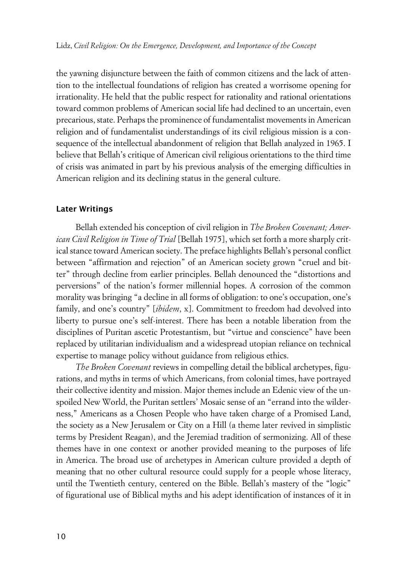the yawning disjuncture between the faith of common citizens and the lack of attention to the intellectual foundations of religion has created a worrisome opening for irrationality. He held that the public respect for rationality and rational orientations toward common problems of American social life had declined to an uncertain, even precarious, state. Perhaps the prominence of fundamentalist movements in American religion and of fundamentalist understandings of its civil religious mission is a consequence of the intellectual abandonment of religion that Bellah analyzed in 1965. I believe that Bellah's critique of American civil religious orientations to the third time of crisis was animated in part by his previous analysis of the emerging difficulties in American religion and its declining status in the general culture.

#### **xLater Writings**

Bellah extended his conception of civil religion in *The Broken Covenant; American Civil Religion in Time of Trial* [Bellah 1975], which set forth a more sharply critical stance toward American society. The preface highlights Bellah's personal conflict between "affirmation and rejection" of an American society grown "cruel and bitter" through decline from earlier principles. Bellah denounced the "distortions and perversions" of the nation's former millennial hopes. A corrosion of the common morality was bringing "a decline in all forms of obligation: to one's occupation, one's family, and one's country" [*ibidem*, x]. Commitment to freedom had devolved into liberty to pursue one's self-interest. There has been a notable liberation from the disciplines of Puritan ascetic Protestantism, but "virtue and conscience" have been replaced by utilitarian individualism and a widespread utopian reliance on technical expertise to manage policy without guidance from religious ethics.

*The Broken Covenant* reviews in compelling detail the biblical archetypes, figurations, and myths in terms of which Americans, from colonial times, have portrayed their collective identity and mission. Major themes include an Edenic view of the unspoiled New World, the Puritan settlers' Mosaic sense of an "errand into the wilderness," Americans as a Chosen People who have taken charge of a Promised Land, the society as a New Jerusalem or City on a Hill (a theme later revived in simplistic terms by President Reagan), and the Jeremiad tradition of sermonizing. All of these themes have in one context or another provided meaning to the purposes of life in America. The broad use of archetypes in American culture provided a depth of meaning that no other cultural resource could supply for a people whose literacy, until the Twentieth century, centered on the Bible. Bellah's mastery of the "logic" of figurational use of Biblical myths and his adept identification of instances of it in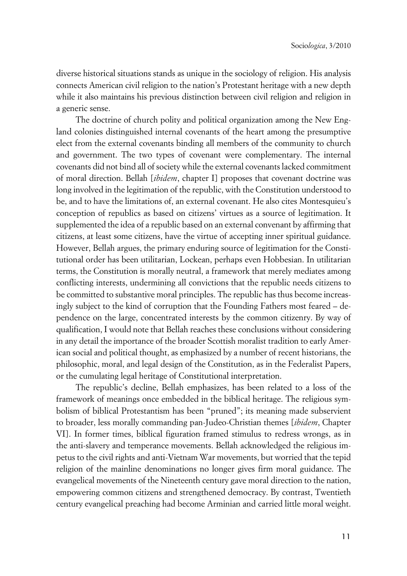diverse historical situations stands as unique in the sociology of religion. His analysis connects American civil religion to the nation's Protestant heritage with a new depth while it also maintains his previous distinction between civil religion and religion in a generic sense.

The doctrine of church polity and political organization among the New England colonies distinguished internal covenants of the heart among the presumptive elect from the external covenants binding all members of the community to church and government. The two types of covenant were complementary. The internal covenants did not bind all of society while the external covenants lacked commitment of moral direction. Bellah [*ibidem*, chapter I] proposes that covenant doctrine was long involved in the legitimation of the republic, with the Constitution understood to be, and to have the limitations of, an external covenant. He also cites Montesquieu's conception of republics as based on citizens' virtues as a source of legitimation. It supplemented the idea of a republic based on an external convenant by affirming that citizens, at least some citizens, have the virtue of accepting inner spiritual guidance. However, Bellah argues, the primary enduring source of legitimation for the Constitutional order has been utilitarian, Lockean, perhaps even Hobbesian. In utilitarian terms, the Constitution is morally neutral, a framework that merely mediates among conflicting interests, undermining all convictions that the republic needs citizens to be committed to substantive moral principles. The republic has thus become increasingly subject to the kind of corruption that the Founding Fathers most feared – dependence on the large, concentrated interests by the common citizenry. By way of qualification, I would note that Bellah reaches these conclusions without considering in any detail the importance of the broader Scottish moralist tradition to early American social and political thought, as emphasized by a number of recent historians, the philosophic, moral, and legal design of the Constitution, as in the Federalist Papers, or the cumulating legal heritage of Constitutional interpretation.

The republic's decline, Bellah emphasizes, has been related to a loss of the framework of meanings once embedded in the biblical heritage. The religious symbolism of biblical Protestantism has been "pruned"; its meaning made subservient to broader, less morally commanding pan-Judeo-Christian themes [*ibidem*, Chapter VI]. In former times, biblical figuration framed stimulus to redress wrongs, as in the anti-slavery and temperance movements. Bellah acknowledged the religious impetus to the civil rights and anti-Vietnam War movements, but worried that the tepid religion of the mainline denominations no longer gives firm moral guidance. The evangelical movements of the Nineteenth century gave moral direction to the nation, empowering common citizens and strengthened democracy. By contrast, Twentieth century evangelical preaching had become Arminian and carried little moral weight.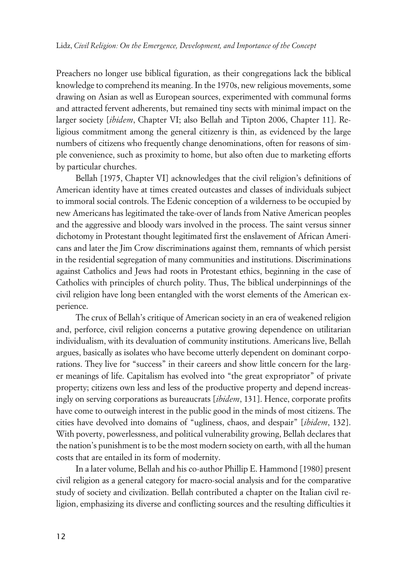Preachers no longer use biblical figuration, as their congregations lack the biblical knowledge to comprehend its meaning. In the 1970s, new religious movements, some drawing on Asian as well as European sources, experimented with communal forms and attracted fervent adherents, but remained tiny sects with minimal impact on the larger society [*ibidem*, Chapter VI; also Bellah and Tipton 2006, Chapter 11]. Religious commitment among the general citizenry is thin, as evidenced by the large numbers of citizens who frequently change denominations, often for reasons of simple convenience, such as proximity to home, but also often due to marketing efforts by particular churches.

Bellah [1975, Chapter VI] acknowledges that the civil religion's definitions of American identity have at times created outcastes and classes of individuals subject to immoral social controls. The Edenic conception of a wilderness to be occupied by new Americans has legitimated the take-over of lands from Native American peoples and the aggressive and bloody wars involved in the process. The saint versus sinner dichotomy in Protestant thought legitimated first the enslavement of African Americans and later the Jim Crow discriminations against them, remnants of which persist in the residential segregation of many communities and institutions. Discriminations against Catholics and Jews had roots in Protestant ethics, beginning in the case of Catholics with principles of church polity. Thus, The biblical underpinnings of the civil religion have long been entangled with the worst elements of the American experience.

The crux of Bellah's critique of American society in an era of weakened religion and, perforce, civil religion concerns a putative growing dependence on utilitarian individualism, with its devaluation of community institutions. Americans live, Bellah argues, basically as isolates who have become utterly dependent on dominant corporations. They live for "success" in their careers and show little concern for the larger meanings of life. Capitalism has evolved into "the great expropriator" of private property; citizens own less and less of the productive property and depend increasingly on serving corporations as bureaucrats [*ibidem*, 131]. Hence, corporate profits have come to outweigh interest in the public good in the minds of most citizens. The cities have devolved into domains of "ugliness, chaos, and despair" [*ibidem*, 132]. With poverty, powerlessness, and political vulnerability growing, Bellah declares that the nation's punishment is to be the most modern society on earth, with all the human costs that are entailed in its form of modernity.

In a later volume, Bellah and his co-author Phillip E. Hammond [1980] present civil religion as a general category for macro-social analysis and for the comparative study of society and civilization. Bellah contributed a chapter on the Italian civil religion, emphasizing its diverse and conflicting sources and the resulting difficulties it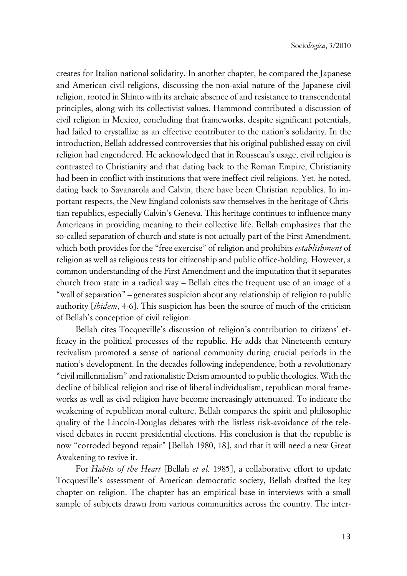creates for Italian national solidarity. In another chapter, he compared the Japanese and American civil religions, discussing the non-axial nature of the Japanese civil religion, rooted in Shinto with its archaic absence of and resistance to transcendental principles, along with its collectivist values. Hammond contributed a discussion of civil religion in Mexico, concluding that frameworks, despite significant potentials, had failed to crystallize as an effective contributor to the nation's solidarity. In the introduction, Bellah addressed controversies that his original published essay on civil religion had engendered. He acknowledged that in Rousseau's usage, civil religion is contrasted to Christianity and that dating back to the Roman Empire, Christianity had been in conflict with institutions that were ineffect civil religions. Yet, he noted, dating back to Savanarola and Calvin, there have been Christian republics. In important respects, the New England colonists saw themselves in the heritage of Christian republics, especially Calvin's Geneva. This heritage continues to influence many Americans in providing meaning to their collective life. Bellah emphasizes that the so-called separation of church and state is not actually part of the First Amendment, which both provides for the "free exercise" of religion and prohibits *establishment* of religion as well as religious tests for citizenship and public office-holding. However, a common understanding of the First Amendment and the imputation that it separates church from state in a radical way – Bellah cites the frequent use of an image of a "wall of separation" – generates suspicion about any relationship of religion to public authority [*ibidem*, 4-6]. This suspicion has been the source of much of the criticism of Bellah's conception of civil religion.

Bellah cites Tocqueville's discussion of religion's contribution to citizens' efficacy in the political processes of the republic. He adds that Nineteenth century revivalism promoted a sense of national community during crucial periods in the nation's development. In the decades following independence, both a revolutionary "civil millennialism" and rationalistic Deism amounted to public theologies. With the decline of biblical religion and rise of liberal individualism, republican moral frameworks as well as civil religion have become increasingly attenuated. To indicate the weakening of republican moral culture, Bellah compares the spirit and philosophic quality of the Lincoln-Douglas debates with the listless risk-avoidance of the televised debates in recent presidential elections. His conclusion is that the republic is now "corroded beyond repair" [Bellah 1980, 18], and that it will need a new Great Awakening to revive it.

For *Habits of the Heart* [Bellah *et al.* 1985], a collaborative effort to update Tocqueville's assessment of American democratic society, Bellah drafted the key chapter on religion. The chapter has an empirical base in interviews with a small sample of subjects drawn from various communities across the country. The inter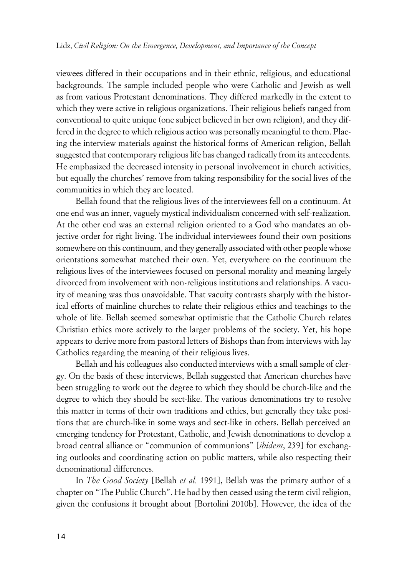viewees differed in their occupations and in their ethnic, religious, and educational backgrounds. The sample included people who were Catholic and Jewish as well as from various Protestant denominations. They differed markedly in the extent to which they were active in religious organizations. Their religious beliefs ranged from conventional to quite unique (one subject believed in her own religion), and they differed in the degree to which religious action was personally meaningful to them. Placing the interview materials against the historical forms of American religion, Bellah suggested that contemporary religious life has changed radically from its antecedents. He emphasized the decreased intensity in personal involvement in church activities, but equally the churches' remove from taking responsibility for the social lives of the communities in which they are located.

Bellah found that the religious lives of the interviewees fell on a continuum. At one end was an inner, vaguely mystical individualism concerned with self-realization. At the other end was an external religion oriented to a God who mandates an objective order for right living. The individual interviewees found their own positions somewhere on this continuum, and they generally associated with other people whose orientations somewhat matched their own. Yet, everywhere on the continuum the religious lives of the interviewees focused on personal morality and meaning largely divorced from involvement with non-religious institutions and relationships. A vacuity of meaning was thus unavoidable. That vacuity contrasts sharply with the historical efforts of mainline churches to relate their religious ethics and teachings to the whole of life. Bellah seemed somewhat optimistic that the Catholic Church relates Christian ethics more actively to the larger problems of the society. Yet, his hope appears to derive more from pastoral letters of Bishops than from interviews with lay Catholics regarding the meaning of their religious lives.

Bellah and his colleagues also conducted interviews with a small sample of clergy. On the basis of these interviews, Bellah suggested that American churches have been struggling to work out the degree to which they should be church-like and the degree to which they should be sect-like. The various denominations try to resolve this matter in terms of their own traditions and ethics, but generally they take positions that are church-like in some ways and sect-like in others. Bellah perceived an emerging tendency for Protestant, Catholic, and Jewish denominations to develop a broad central alliance or "communion of communions" [*ibidem*, 239] for exchanging outlooks and coordinating action on public matters, while also respecting their denominational differences.

In *The Good Society* [Bellah *et al.* 1991], Bellah was the primary author of a chapter on "The Public Church". He had by then ceased using the term civil religion, given the confusions it brought about [Bortolini 2010b]. However, the idea of the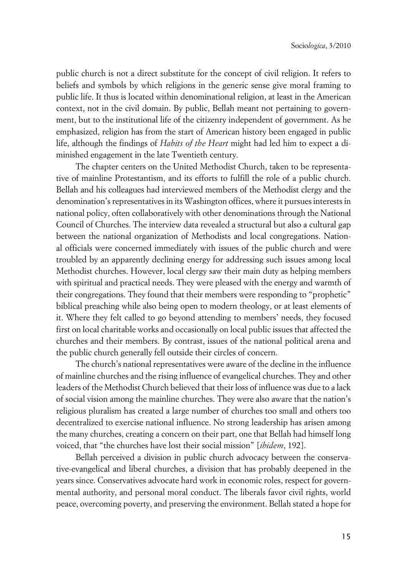public church is not a direct substitute for the concept of civil religion. It refers to beliefs and symbols by which religions in the generic sense give moral framing to public life. It thus is located within denominational religion, at least in the American context, not in the civil domain. By public, Bellah meant not pertaining to government, but to the institutional life of the citizenry independent of government. As he emphasized, religion has from the start of American history been engaged in public life, although the findings of *Habits of the Heart* might had led him to expect a diminished engagement in the late Twentieth century.

The chapter centers on the United Methodist Church, taken to be representative of mainline Protestantism, and its efforts to fulfill the role of a public church. Bellah and his colleagues had interviewed members of the Methodist clergy and the denomination's representatives in its Washington offices, where it pursues interests in national policy, often collaboratively with other denominations through the National Council of Churches. The interview data revealed a structural but also a cultural gap between the national organization of Methodists and local congregations. National officials were concerned immediately with issues of the public church and were troubled by an apparently declining energy for addressing such issues among local Methodist churches. However, local clergy saw their main duty as helping members with spiritual and practical needs. They were pleased with the energy and warmth of their congregations. They found that their members were responding to "prophetic" biblical preaching while also being open to modern theology, or at least elements of it. Where they felt called to go beyond attending to members' needs, they focused first on local charitable works and occasionally on local public issues that affected the churches and their members. By contrast, issues of the national political arena and the public church generally fell outside their circles of concern.

The church's national representatives were aware of the decline in the influence of mainline churches and the rising influence of evangelical churches. They and other leaders of the Methodist Church believed that their loss of influence was due to a lack of social vision among the mainline churches. They were also aware that the nation's religious pluralism has created a large number of churches too small and others too decentralized to exercise national influence. No strong leadership has arisen among the many churches, creating a concern on their part, one that Bellah had himself long voiced, that "the churches have lost their social mission" [*ibidem*, 192].

Bellah perceived a division in public church advocacy between the conservative-evangelical and liberal churches, a division that has probably deepened in the years since. Conservatives advocate hard work in economic roles, respect for governmental authority, and personal moral conduct. The liberals favor civil rights, world peace, overcoming poverty, and preserving the environment. Bellah stated a hope for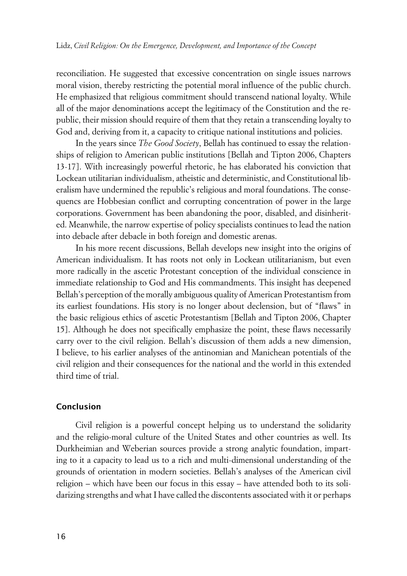reconciliation. He suggested that excessive concentration on single issues narrows moral vision, thereby restricting the potential moral influence of the public church. He emphasized that religious commitment should transcend national loyalty. While all of the major denominations accept the legitimacy of the Constitution and the republic, their mission should require of them that they retain a transcending loyalty to God and, deriving from it, a capacity to critique national institutions and policies.

In the years since *The Good Society*, Bellah has continued to essay the relationships of religion to American public institutions [Bellah and Tipton 2006, Chapters 13-17]. With increasingly powerful rhetoric, he has elaborated his conviction that Lockean utilitarian individualism, atheistic and deterministic, and Constitutional liberalism have undermined the republic's religious and moral foundations. The consequencs are Hobbesian conflict and corrupting concentration of power in the large corporations. Government has been abandoning the poor, disabled, and disinherited. Meanwhile, the narrow expertise of policy specialists continues to lead the nation into debacle after debacle in both foreign and domestic arenas.

In his more recent discussions, Bellah develops new insight into the origins of American individualism. It has roots not only in Lockean utilitarianism, but even more radically in the ascetic Protestant conception of the individual conscience in immediate relationship to God and His commandments. This insight has deepened Bellah's perception of the morally ambiguous quality of American Protestantism from its earliest foundations. His story is no longer about declension, but of "flaws" in the basic religious ethics of ascetic Protestantism [Bellah and Tipton 2006, Chapter 15]. Although he does not specifically emphasize the point, these flaws necessarily carry over to the civil religion. Bellah's discussion of them adds a new dimension, I believe, to his earlier analyses of the antinomian and Manichean potentials of the civil religion and their consequences for the national and the world in this extended third time of trial.

#### **xConclusion**

Civil religion is a powerful concept helping us to understand the solidarity and the religio-moral culture of the United States and other countries as well. Its Durkheimian and Weberian sources provide a strong analytic foundation, imparting to it a capacity to lead us to a rich and multi-dimensional understanding of the grounds of orientation in modern societies. Bellah's analyses of the American civil religion – which have been our focus in this essay – have attended both to its solidarizing strengths and what I have called the discontents associated with it or perhaps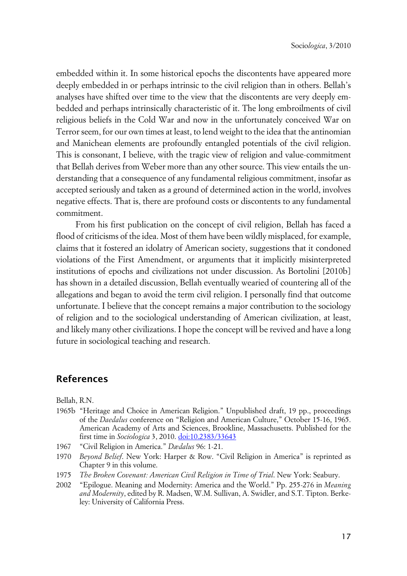embedded within it. In some historical epochs the discontents have appeared more deeply embedded in or perhaps intrinsic to the civil religion than in others. Bellah's analyses have shifted over time to the view that the discontents are very deeply embedded and perhaps intrinsically characteristic of it. The long embroilments of civil religious beliefs in the Cold War and now in the unfortunately conceived War on Terror seem, for our own times at least, to lend weight to the idea that the antinomian and Manichean elements are profoundly entangled potentials of the civil religion. This is consonant, I believe, with the tragic view of religion and value-commitment that Bellah derives from Weber more than any other source. This view entails the understanding that a consequence of any fundamental religious commitment, insofar as accepted seriously and taken as a ground of determined action in the world, involves negative effects. That is, there are profound costs or discontents to any fundamental commitment.

From his first publication on the concept of civil religion, Bellah has faced a flood of criticisms of the idea. Most of them have been wildly misplaced, for example, claims that it fostered an idolatry of American society, suggestions that it condoned violations of the First Amendment, or arguments that it implicitly misinterpreted institutions of epochs and civilizations not under discussion. As Bortolini [2010b] has shown in a detailed discussion, Bellah eventually wearied of countering all of the allegations and began to avoid the term civil religion. I personally find that outcome unfortunate. I believe that the concept remains a major contribution to the sociology of religion and to the sociological understanding of American civilization, at least, and likely many other civilizations. I hope the concept will be revived and have a long future in sociological teaching and research.

### **References**

Bellah, R.N.

- 1965b "Heritage and Choice in American Religion." Unpublished draft, 19 pp., proceedings of the *Daedalus* conference on "Religion and American Culture," October 15-16, 1965. American Academy of Arts and Sciences, Brookline, Massachusetts. Published for the first time in *Sociologica* 3, 2010. [doi:10.2383/33643](http://www.sociologica.mulino.it/doi/10.2383/33643)
- 1967 "Civil Religion in America." *Dædalus* 96: 1-21.
- 1970 *Beyond Belief*. New York: Harper & Row. "Civil Religion in America" is reprinted as Chapter 9 in this volume.
- 1975 *The Broken Covenant: American Civil Religion in Time of Trial*. New York: Seabury.
- 2002 "Epilogue. Meaning and Modernity: America and the World." Pp. 255-276 in *Meaning and Modernity*, edited by R. Madsen, W.M. Sullivan, A. Swidler, and S.T. Tipton. Berkeley: University of California Press.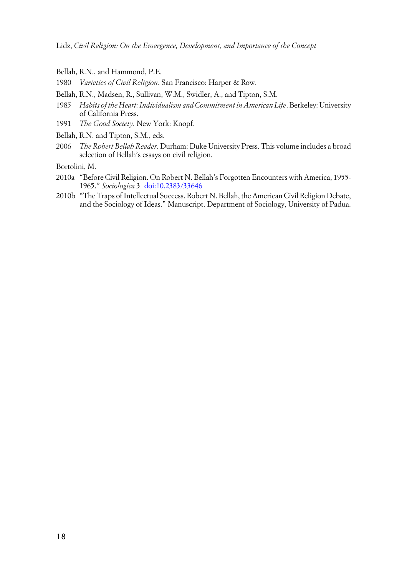Lidz, *Civil Religion: On the Emergence, Development, and Importance of the Concept*

- Bellah, R.N., and Hammond, P.E.
- 1980 *Varieties of Civil Religion*. San Francisco: Harper & Row.
- Bellah, R.N., Madsen, R., Sullivan, W.M., Swidler, A., and Tipton, S.M.
- 1985 *Habits of the Heart: Individualism and Commitment in American Life*. Berkeley: University of California Press.
- 1991 *The Good Society*. New York: Knopf.
- Bellah, R.N. and Tipton, S.M., eds.
- 2006 *The Robert Bellah Reader*. Durham: Duke University Press. This volume includes a broad selection of Bellah's essays on civil religion.

Bortolini, M.

- 2010a "Before Civil Religion. On Robert N. Bellah's Forgotten Encounters with America, 1955- 1965." *Sociologica* 3*.* [doi:10.2383/33646](http://www.sociologica.mulino.it/doi/10.2383/33646)
- 2010b "The Traps of Intellectual Success. Robert N. Bellah, the American Civil Religion Debate, and the Sociology of Ideas." Manuscript. Department of Sociology, University of Padua.